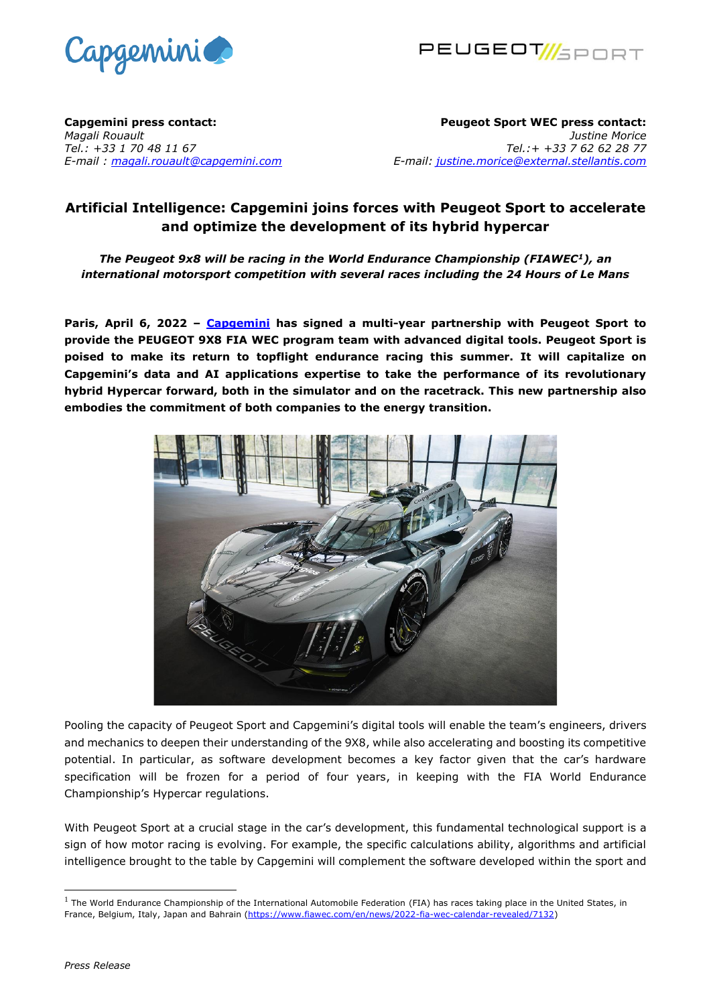



**Capgemini press contact:**  *Magali Rouault Tel.: +33 1 70 48 11 67 E-mail : [magali.rouault@capgemini.com](mailto:magali.rouault@capgemini.com)*

**Peugeot Sport WEC press contact:**  *Justine Morice Tel.:+ +33 7 62 62 28 77 E-mail: [justine.morice@external.stellantis.com](mailto:justine.morice@external.stellantis.com)*

## **Artificial Intelligence: Capgemini joins forces with Peugeot Sport to accelerate and optimize the development of its hybrid hypercar**

*The Peugeot 9x8 will be racing in the World Endurance Championship (FIAWEC<sup>1</sup>), an international motorsport competition with several races including the 24 Hours of Le Mans*

**Paris, April 6, 2022 – [Capgemini](https://nam02.safelinks.protection.outlook.com/?url=https%3A%2F%2Fwww.capgemini.com%2F&data=04%7C01%7Crsketchley%40we-worldwide.com%7C1b7283f30ebd4c1abc3a08da11954557%7C3ed60ab455674971a5341a5f0f7cc7f5%7C0%7C0%7C637841630079612541%7CUnknown%7CTWFpbGZsb3d8eyJWIjoiMC4wLjAwMDAiLCJQIjoiV2luMzIiLCJBTiI6Ik1haWwiLCJXVCI6Mn0%3D%7C3000&sdata=X5ABtkJWGuadCEKENIyA%2Fch66J4dMMJI0MuuMQTIEcg%3D&reserved=0) has signed a multi-year partnership with Peugeot Sport to provide the PEUGEOT 9X8 FIA WEC program team with advanced digital tools. Peugeot Sport is poised to make its return to topflight endurance racing this summer. It will capitalize on Capgemini's data and AI applications expertise to take the performance of its revolutionary hybrid Hypercar forward, both in the simulator and on the racetrack. This new partnership also embodies the commitment of both companies to the energy transition.**



Pooling the capacity of Peugeot Sport and Capgemini's digital tools will enable the team's engineers, drivers and mechanics to deepen their understanding of the 9X8, while also accelerating and boosting its competitive potential. In particular, as software development becomes a key factor given that the car's hardware specification will be frozen for a period of four years, in keeping with the FIA World Endurance Championship's Hypercar regulations.

With Peugeot Sport at a crucial stage in the car's development, this fundamental technological support is a sign of how motor racing is evolving. For example, the specific calculations ability, algorithms and artificial intelligence brought to the table by Capgemini will complement the software developed within the sport and

<sup>&</sup>lt;sup>1</sup> The World Endurance Championship of the International Automobile Federation (FIA) has races taking place in the United States, in France, Belgium, Italy, Japan and Bahrain [\(https://www.fiawec.com/en/news/2022-fia-wec-calendar-revealed/7132\)](https://www.fiawec.com/en/news/2022-fia-wec-calendar-revealed/7132)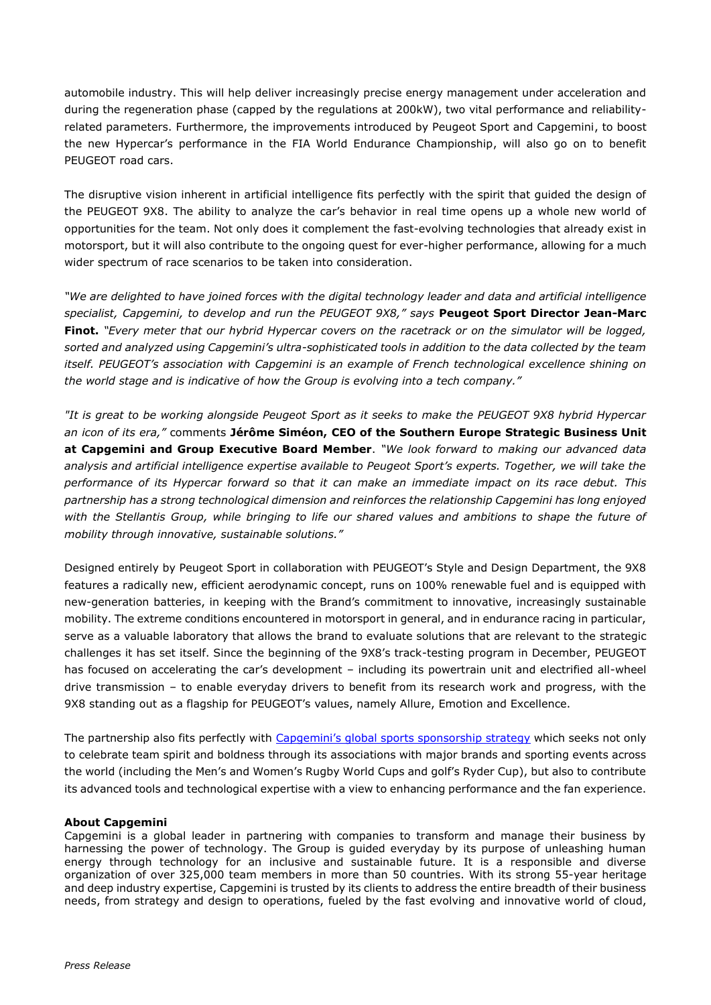automobile industry. This will help deliver increasingly precise energy management under acceleration and during the regeneration phase (capped by the regulations at 200kW), two vital performance and reliabilityrelated parameters. Furthermore, the improvements introduced by Peugeot Sport and Capgemini, to boost the new Hypercar's performance in the FIA World Endurance Championship, will also go on to benefit PEUGEOT road cars.

The disruptive vision inherent in artificial intelligence fits perfectly with the spirit that guided the design of the PEUGEOT 9X8. The ability to analyze the car's behavior in real time opens up a whole new world of opportunities for the team. Not only does it complement the fast-evolving technologies that already exist in motorsport, but it will also contribute to the ongoing quest for ever-higher performance, allowing for a much wider spectrum of race scenarios to be taken into consideration.

*"We are delighted to have joined forces with the digital technology leader and data and artificial intelligence specialist, Capgemini, to develop and run the PEUGEOT 9X8," says* **Peugeot Sport Director Jean-Marc Finot.** *"Every meter that our hybrid Hypercar covers on the racetrack or on the simulator will be logged, sorted and analyzed using Capgemini's ultra-sophisticated tools in addition to the data collected by the team itself. PEUGEOT's association with Capgemini is an example of French technological excellence shining on the world stage and is indicative of how the Group is evolving into a tech company."*

*"It is great to be working alongside Peugeot Sport as it seeks to make the PEUGEOT 9X8 hybrid Hypercar an icon of its era,"* comments **Jérôme Siméon, CEO of the Southern Europe Strategic Business Unit at Capgemini and Group Executive Board Member**. *"We look forward to making our advanced data analysis and artificial intelligence expertise available to Peugeot Sport's experts. Together, we will take the performance of its Hypercar forward so that it can make an immediate impact on its race debut. This partnership has a strong technological dimension and reinforces the relationship Capgemini has long enjoyed with the Stellantis Group, while bringing to life our shared values and ambitions to shape the future of mobility through innovative, sustainable solutions."*

Designed entirely by Peugeot Sport in collaboration with PEUGEOT's Style and Design Department, the 9X8 features a radically new, efficient aerodynamic concept, runs on 100% renewable fuel and is equipped with new-generation batteries, in keeping with the Brand's commitment to innovative, increasingly sustainable mobility. The extreme conditions encountered in motorsport in general, and in endurance racing in particular, serve as a valuable laboratory that allows the brand to evaluate solutions that are relevant to the strategic challenges it has set itself. Since the beginning of the 9X8's track-testing program in December, PEUGEOT has focused on accelerating the car's development – including its powertrain unit and electrified all-wheel drive transmission – to enable everyday drivers to benefit from its research work and progress, with the 9X8 standing out as a flagship for PEUGEOT's values, namely Allure, Emotion and Excellence.

The partnership also fits perfectly with [Capgemini's global sports sponsorship strategy](https://www.capgemini.com/our-company/passion-for-sport/) which seeks not only to celebrate team spirit and boldness through its associations with major brands and sporting events across the world (including the Men's and Women's Rugby World Cups and golf's Ryder Cup), but also to contribute its advanced tools and technological expertise with a view to enhancing performance and the fan experience.

## **About Capgemini**

Capgemini is a global leader in partnering with companies to transform and manage their business by harnessing the power of technology. The Group is guided everyday by its purpose of unleashing human energy through technology for an inclusive and sustainable future. It is a responsible and diverse organization of over 325,000 team members in more than 50 countries. With its strong 55-year heritage and deep industry expertise, Capgemini is trusted by its clients to address the entire breadth of their business needs, from strategy and design to operations, fueled by the fast evolving and innovative world of cloud,